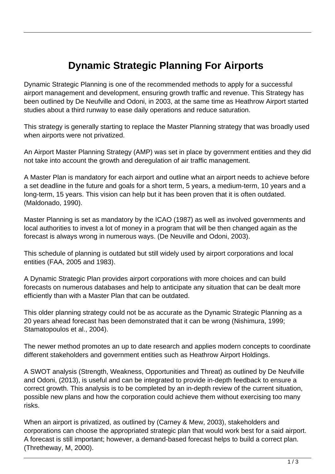## **Dynamic Strategic Planning For Airports**

Dynamic Strategic Planning is one of the recommended methods to apply for a successful airport management and development, ensuring growth traffic and revenue. This Strategy has been outlined by De Neufville and Odoni, in 2003, at the same time as Heathrow Airport started studies about a third runway to ease daily operations and reduce saturation.

This strategy is generally starting to replace the Master Planning strategy that was broadly used when airports were not privatized.

An Airport Master Planning Strategy (AMP) was set in place by government entities and they did not take into account the growth and deregulation of air traffic management.

A Master Plan is mandatory for each airport and outline what an airport needs to achieve before a set deadline in the future and goals for a short term, 5 years, a medium-term, 10 years and a long-term, 15 years. This vision can help but it has been proven that it is often outdated. (Maldonado, 1990).

Master Planning is set as mandatory by the ICAO (1987) as well as involved governments and local authorities to invest a lot of money in a program that will be then changed again as the forecast is always wrong in numerous ways. (De Neuville and Odoni, 2003).

This schedule of planning is outdated but still widely used by airport corporations and local entities (FAA, 2005 and 1983).

A Dynamic Strategic Plan provides airport corporations with more choices and can build forecasts on numerous databases and help to anticipate any situation that can be dealt more efficiently than with a Master Plan that can be outdated.

This older planning strategy could not be as accurate as the Dynamic Strategic Planning as a 20 years ahead forecast has been demonstrated that it can be wrong (Nishimura, 1999; Stamatopoulos et al., 2004).

The newer method promotes an up to date research and applies modern concepts to coordinate different stakeholders and government entities such as Heathrow Airport Holdings.

A SWOT analysis (Strength, Weakness, Opportunities and Threat) as outlined by De Neufville and Odoni, (2013), is useful and can be integrated to provide in-depth feedback to ensure a correct growth. This analysis is to be completed by an in-depth review of the current situation, possible new plans and how the corporation could achieve them without exercising too many risks.

When an airport is privatized, as outlined by (Carney & Mew, 2003), stakeholders and corporations can choose the appropriated strategic plan that would work best for a said airport. A forecast is still important; however, a demand-based forecast helps to build a correct plan. (Thretheway, M, 2000).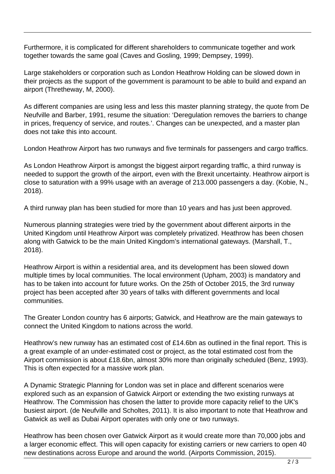Furthermore, it is complicated for different shareholders to communicate together and work together towards the same goal (Caves and Gosling, 1999; Dempsey, 1999).

Large stakeholders or corporation such as London Heathrow Holding can be slowed down in their projects as the support of the government is paramount to be able to build and expand an airport (Thretheway, M, 2000).

As different companies are using less and less this master planning strategy, the quote from De Neufville and Barber, 1991, resume the situation: 'Deregulation removes the barriers to change in prices, frequency of service, and routes.'. Changes can be unexpected, and a master plan does not take this into account.

London Heathrow Airport has two runways and five terminals for passengers and cargo traffics.

As London Heathrow Airport is amongst the biggest airport regarding traffic, a third runway is needed to support the growth of the airport, even with the Brexit uncertainty. Heathrow airport is close to saturation with a 99% usage with an average of 213.000 passengers a day. (Kobie, N., 2018).

A third runway plan has been studied for more than 10 years and has just been approved.

Numerous planning strategies were tried by the government about different airports in the United Kingdom until Heathrow Airport was completely privatized. Heathrow has been chosen along with Gatwick to be the main United Kingdom's international gateways. (Marshall, T., 2018).

Heathrow Airport is within a residential area, and its development has been slowed down multiple times by local communities. The local environment (Upham, 2003) is mandatory and has to be taken into account for future works. On the 25th of October 2015, the 3rd runway project has been accepted after 30 years of talks with different governments and local communities.

The Greater London country has 6 airports; Gatwick, and Heathrow are the main gateways to connect the United Kingdom to nations across the world.

Heathrow's new runway has an estimated cost of £14.6bn as outlined in the final report. This is a great example of an under-estimated cost or project, as the total estimated cost from the Airport commission is about £18.6bn, almost 30% more than originally scheduled (Benz, 1993). This is often expected for a massive work plan.

A Dynamic Strategic Planning for London was set in place and different scenarios were explored such as an expansion of Gatwick Airport or extending the two existing runways at Heathrow. The Commission has chosen the latter to provide more capacity relief to the UK's busiest airport. (de Neufville and Scholtes, 2011). It is also important to note that Heathrow and Gatwick as well as Dubai Airport operates with only one or two runways.

Heathrow has been chosen over Gatwick Airport as it would create more than 70,000 jobs and a larger economic effect. This will open capacity for existing carriers or new carriers to open 40 new destinations across Europe and around the world. (Airports Commission, 2015).